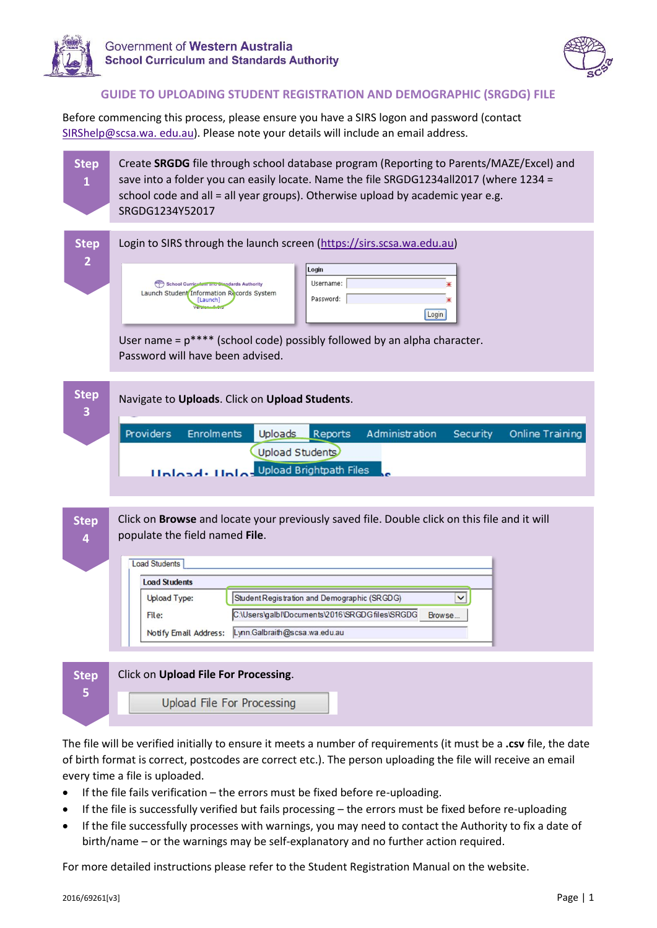



## **GUIDE TO UPLOADING STUDENT REGISTRATION AND DEMOGRAPHIC (SRGDG) FILE**

Before commencing this process, please ensure you have a SIRS logon and password (contact [SIRShelp@scsa.wa.](mailto:SIRShelp@scsa.wa.%20edu.au) edu.au). Please note your details will include an email address.

Create **SRGDG** file through school database program (Reporting to Parents/MAZE/Excel) and **Step**  save into a folder you can easily locate. Name the file SRGDG1234all2017 (where 1234 = **1** school code and all = all year groups). Otherwise upload by academic year e.g. SRGDG1234Y52017 **Step**  Login to SIRS through the launch screen [\(https://sirs.scsa.wa.edu.au\)](https://sirs.scsa.wa.edu.au/) **2** Login Username: School Cu Launch Student Information Records System Password: Login User name =  $p***$  (school code) possibly followed by an alpha character. Password will have been advised. **Step** Navigate to **Uploads**. Click on **Upload Students**. **3** Providers Enrolments Uploads **Reports** Administration Security Online Training Upload Students **Hoload: Holos** Upload Brightpath Files Click on **Browse** and locate your previously saved file. Double click on this file and it will **Step**  populate the field named **File**. **4 Load Students Load Students**  $\overline{\mathsf{v}}$ **Upload Type:** Student Registration and Demographic (SRGDG) C:\Users\galbl\Documents\2016\SRGDGfiles\SRGDG Browse... File: Notify Email Address: Lynn.Galbraith@scsa.wa.edu.au

| <b>Step</b> | Click on Upload File For Processing. |
|-------------|--------------------------------------|
|             | Upload File For Processing           |
|             |                                      |

The file will be verified initially to ensure it meets a number of requirements (it must be a **.csv** file, the date of birth format is correct, postcodes are correct etc.). The person uploading the file will receive an email every time a file is uploaded.

- If the file fails verification the errors must be fixed before re-uploading.
- If the file is successfully verified but fails processing the errors must be fixed before re-uploading
- If the file successfully processes with warnings, you may need to contact the Authority to fix a date of birth/name – or the warnings may be self-explanatory and no further action required.

For more detailed instructions please refer to the Student Registration Manual on the website.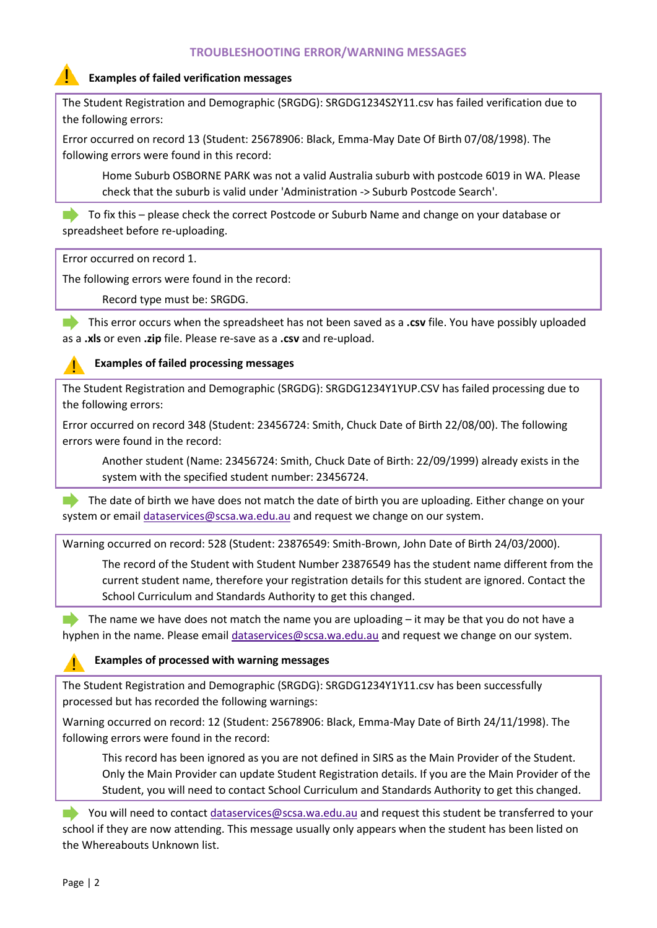## **TROUBLESHOOTING ERROR/WARNING MESSAGES**

### **Examples of failed verification messages**

The Student Registration and Demographic (SRGDG): SRGDG1234S2Y11.csv has failed verification due to the following errors:

Error occurred on record 13 (Student: 25678906: Black, Emma-May Date Of Birth 07/08/1998). The following errors were found in this record:

Home Suburb OSBORNE PARK was not a valid Australia suburb with postcode 6019 in WA. Please check that the suburb is valid under 'Administration -> Suburb Postcode Search'.

To fix this – please check the correct Postcode or Suburb Name and change on your database or spreadsheet before re-uploading.

Error occurred on record 1.

The following errors were found in the record:

Record type must be: SRGDG.

This error occurs when the spreadsheet has not been saved as a **.csv** file. You have possibly uploaded as a **.xls** or even **.zip** file. Please re-save as a **.csv** and re-upload.

#### **Examples of failed processing messages**

The Student Registration and Demographic (SRGDG): SRGDG1234Y1YUP.CSV has failed processing due to the following errors:

Error occurred on record 348 (Student: 23456724: Smith, Chuck Date of Birth 22/08/00). The following errors were found in the record:

Another student (Name: 23456724: Smith, Chuck Date of Birth: 22/09/1999) already exists in the system with the specified student number: 23456724.

The date of birth we have does not match the date of birth you are uploading. Either change on your system or email [dataservices@scsa.wa.edu.au](mailto:dataservices@scsa.wa.edu.au) and request we change on our system.

Warning occurred on record: 528 (Student: 23876549: Smith-Brown, John Date of Birth 24/03/2000).

The record of the Student with Student Number 23876549 has the student name different from the current student name, therefore your registration details for this student are ignored. Contact the School Curriculum and Standards Authority to get this changed.

The name we have does not match the name you are uploading  $-$  it may be that you do not have a hyphen in the name. Please email [dataservices@scsa.wa.edu.au](mailto:dataservices@scsa.wa.edu.au) and request we change on our system.

#### **Examples of processed with warning messages**

The Student Registration and Demographic (SRGDG): SRGDG1234Y1Y11.csv has been successfully processed but has recorded the following warnings:

Warning occurred on record: 12 (Student: 25678906: Black, Emma-May Date of Birth 24/11/1998). The following errors were found in the record:

This record has been ignored as you are not defined in SIRS as the Main Provider of the Student. Only the Main Provider can update Student Registration details. If you are the Main Provider of the Student, you will need to contact School Curriculum and Standards Authority to get this changed.

You will need to contac[t dataservices@scsa.wa.edu.au](mailto:dataservices@scsa.wa.edu.au) and request this student be transferred to your school if they are now attending. This message usually only appears when the student has been listed on the Whereabouts Unknown list.